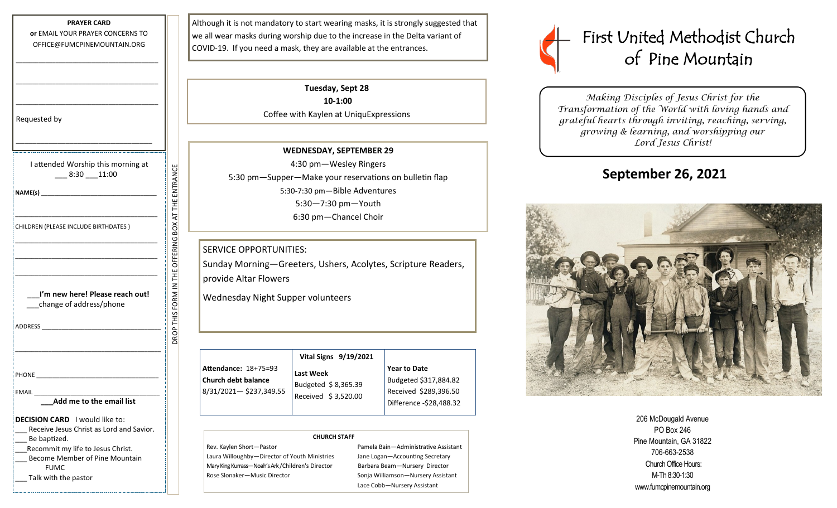| <b>PRAYER CARD</b>                                                                                                                                                                                                             |                            |
|--------------------------------------------------------------------------------------------------------------------------------------------------------------------------------------------------------------------------------|----------------------------|
| or EMAIL YOUR PRAYER CONCERNS TO                                                                                                                                                                                               |                            |
| OFFICE@FUMCPINEMOUNTAIN.ORG                                                                                                                                                                                                    |                            |
|                                                                                                                                                                                                                                |                            |
|                                                                                                                                                                                                                                |                            |
|                                                                                                                                                                                                                                |                            |
|                                                                                                                                                                                                                                |                            |
|                                                                                                                                                                                                                                |                            |
| Requested by                                                                                                                                                                                                                   |                            |
|                                                                                                                                                                                                                                |                            |
|                                                                                                                                                                                                                                |                            |
| I attended Worship this morning at                                                                                                                                                                                             |                            |
| $-8:30 - 11:00$                                                                                                                                                                                                                |                            |
|                                                                                                                                                                                                                                |                            |
|                                                                                                                                                                                                                                |                            |
|                                                                                                                                                                                                                                |                            |
|                                                                                                                                                                                                                                | OFFERING BOX AT THE ENTRAN |
| CHILDREN (PLEASE INCLUDE BIRTHDATES)                                                                                                                                                                                           |                            |
|                                                                                                                                                                                                                                |                            |
|                                                                                                                                                                                                                                |                            |
|                                                                                                                                                                                                                                |                            |
|                                                                                                                                                                                                                                |                            |
| I'm new here! Please reach out!                                                                                                                                                                                                | ROP THIS FORM IN THE       |
| change of address/phone                                                                                                                                                                                                        |                            |
|                                                                                                                                                                                                                                |                            |
| ADDRESS AND THE STATE OF THE STATE OF THE STATE OF THE STATE OF THE STATE OF THE STATE OF THE STATE OF THE STATE OF THE STATE OF THE STATE OF THE STATE OF THE STATE OF THE STATE OF THE STATE OF THE STATE OF THE STATE OF TH |                            |
|                                                                                                                                                                                                                                |                            |
|                                                                                                                                                                                                                                |                            |
|                                                                                                                                                                                                                                |                            |
| <b>PHONE</b>                                                                                                                                                                                                                   |                            |
| EMAIL                                                                                                                                                                                                                          |                            |
| Add me to the email list                                                                                                                                                                                                       |                            |
| <b>DECISION CARD</b> I would like to:                                                                                                                                                                                          |                            |
| Receive Jesus Christ as Lord and Savior.                                                                                                                                                                                       |                            |
| _ Be baptized.                                                                                                                                                                                                                 |                            |
| Recommit my life to Jesus Christ.<br><b>Become Member of Pine Mountain</b>                                                                                                                                                     |                            |
| <b>FUMC</b>                                                                                                                                                                                                                    |                            |

Talk with the pastor

Although it is not mandatory to start wearing masks, it is strongly suggested that we all wear masks during worship due to the increase in the Delta variant of COVID-19. If you need a mask, they are available at the entrances.

> **Tuesday, Sept 28 10-1:00** Coffee with Kaylen at UniquExpressions

**WEDNESDAY, SEPTEMBER 29** 4:30 pm—Wesley Ringers 5:30 pm—Supper—Make your reservations on bulletin flap 5:30-7:30 pm—Bible Adventures 5:30—7:30 pm—Youth 6:30 pm—Chancel Choir

#### SERVICE OPPORTUNITIES:

Sunday Morning—Greeters, Ushers, Acolytes, Scripture Readers, provide Altar Flowers

Wednesday Night Supper volunteers

| <b>Attendance: 18+75=93</b><br><b>Church debt balance</b> | Vital Signs 9/19/2021<br>Last Week<br>Budgeted \$8,365.39<br>Received \$3,520.00 | <b>Year to Date</b><br>Budgeted \$317,884.82     |
|-----------------------------------------------------------|----------------------------------------------------------------------------------|--------------------------------------------------|
| 8/31/2021-\$237,349.55                                    |                                                                                  | Received \$289,396.50<br>Difference -\$28,488.32 |

#### **CHURCH STAFF**

Rev. Kaylen Short—Pastor Pastor Pamela Bain—Administrative Assistant Laura Willoughby-Director of Youth Ministries Jane Logan-Accounting Secretary Mary King Kurrass-Noah's Ark / Children's Director Barbara Beam-Nursery Director Rose Slonaker—Music Director Sonja Williamson—Nursery Assistant

Lace Cobb—Nursery Assistant



*Making Disciples of Jesus Christ for the Transformation of the World with loving hands and grateful hearts through inviting, reaching, serving, growing & learning, and worshipping our Lord Jesus Christ!* 

# **September 26, 2021**



206 McDougald Avenue PO Box 246 Pine Mountain, GA 31822 706-663-2538 Church Office Hours: M-Th 8:30-1:30 www.fumcpinemountain.org